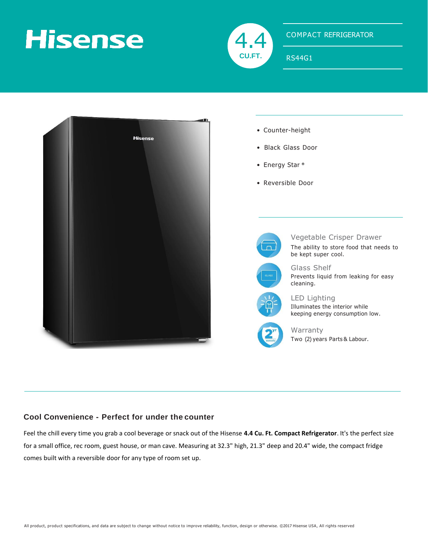# **Hisense**



### COMPACT REFRIGERATOR

RS44G1



- Counter-height
- Black Glass Door
- Energy Star ®
- Reversible Door



Vegetable Crisper Drawer

The ability to store food that needs to be kept super cool.



Glass Shelf Prevents liquid from leaking for easy cleaning.

LED Lighting Illuminates the interior while keeping energy consumption low.



Warranty Two (2) years Parts & Labour.

### **Cool Convenience - Perfect for under the counter**

Feel the chill every time you grab a cool beverage or snack out of the Hisense **4.4 Cu. Ft. Compact Refrigerator**. It's the perfect size for a small office, rec room, guest house, or man cave. Measuring at 32.3" high, 21.3" deep and 20.4" wide, the compact fridge comes built with a reversible door for any type of room set up.